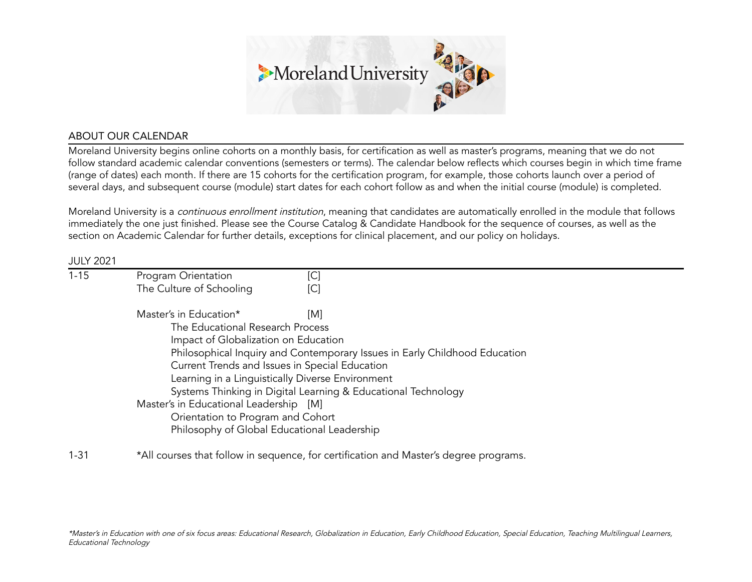

# ABOUT OUR CALENDAR

Moreland University begins online cohorts on a monthly basis, for certification as well as master's programs, meaning that we do not follow standard academic calendar conventions (semesters or terms). The calendar below reflects which courses begin in which time frame (range of dates) each month. If there are 15 cohorts for the certification program, for example, those cohorts launch over a period of several days, and subsequent course (module) start dates for each cohort follow as and when the initial course (module) is completed.

Moreland University is a *continuous enrollment institution*, meaning that candidates are automatically enrolled in the module that follows immediately the one just finished. Please see the Course Catalog & Candidate Handbook for the sequence of courses, as well as the section on Academic Calendar for further details, exceptions for clinical placement, and our policy on holidays.

#### JULY 2021

| $1 - 15$ | Program Orientation                                                        | [C]                                                                                   |  |
|----------|----------------------------------------------------------------------------|---------------------------------------------------------------------------------------|--|
|          | The Culture of Schooling                                                   | [C]                                                                                   |  |
|          | Master's in Education*                                                     | [M]                                                                                   |  |
|          | The Educational Research Process                                           |                                                                                       |  |
|          | Impact of Globalization on Education                                       |                                                                                       |  |
|          | Philosophical Inquiry and Contemporary Issues in Early Childhood Education |                                                                                       |  |
|          | Current Trends and Issues in Special Education                             |                                                                                       |  |
|          | Learning in a Linguistically Diverse Environment                           |                                                                                       |  |
|          | Systems Thinking in Digital Learning & Educational Technology              |                                                                                       |  |
|          | Master's in Educational Leadership [M]                                     |                                                                                       |  |
|          | Orientation to Program and Cohort                                          |                                                                                       |  |
|          | Philosophy of Global Educational Leadership                                |                                                                                       |  |
| $1 - 31$ |                                                                            | *All courses that follow in sequence, for certification and Master's degree programs. |  |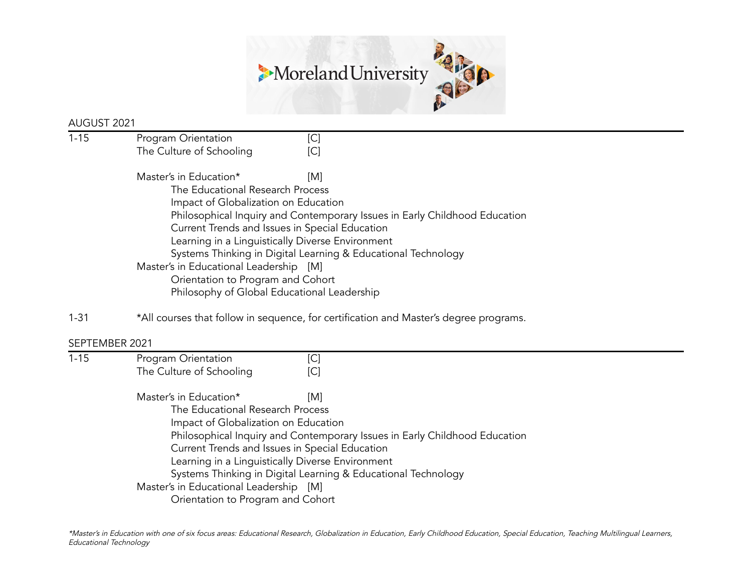

## AUGUST 2021

| $1 - 15$ | Program Orientation                                                        | [C  |  |  |
|----------|----------------------------------------------------------------------------|-----|--|--|
|          | The Culture of Schooling                                                   | [C  |  |  |
|          | Master's in Education*                                                     | [M] |  |  |
|          | The Educational Research Process                                           |     |  |  |
|          | Impact of Globalization on Education                                       |     |  |  |
|          | Philosophical Inquiry and Contemporary Issues in Early Childhood Education |     |  |  |
|          | Current Trends and Issues in Special Education                             |     |  |  |
|          | Learning in a Linguistically Diverse Environment                           |     |  |  |
|          | Systems Thinking in Digital Learning & Educational Technology              |     |  |  |
|          | Master's in Educational Leadership [M]                                     |     |  |  |
|          | Orientation to Program and Cohort                                          |     |  |  |
|          | Philosophy of Global Educational Leadership                                |     |  |  |
|          |                                                                            |     |  |  |

1-31 \*All courses that follow in sequence, for certification and Master's degree programs.

# SEPTEMBER 2021

| $1 - 15$ | Program Orientation                                                        | [C]                                                           |  |  |
|----------|----------------------------------------------------------------------------|---------------------------------------------------------------|--|--|
|          | The Culture of Schooling                                                   | [C]                                                           |  |  |
|          | Master's in Education*                                                     | IMI                                                           |  |  |
|          | The Educational Research Process                                           |                                                               |  |  |
|          | Impact of Globalization on Education                                       |                                                               |  |  |
|          | Philosophical Inquiry and Contemporary Issues in Early Childhood Education |                                                               |  |  |
|          | Current Trends and Issues in Special Education                             |                                                               |  |  |
|          |                                                                            | Learning in a Linguistically Diverse Environment              |  |  |
|          |                                                                            | Systems Thinking in Digital Learning & Educational Technology |  |  |
|          | Master's in Educational Leadership [M]                                     |                                                               |  |  |
|          | Orientation to Program and Cohort                                          |                                                               |  |  |
|          |                                                                            |                                                               |  |  |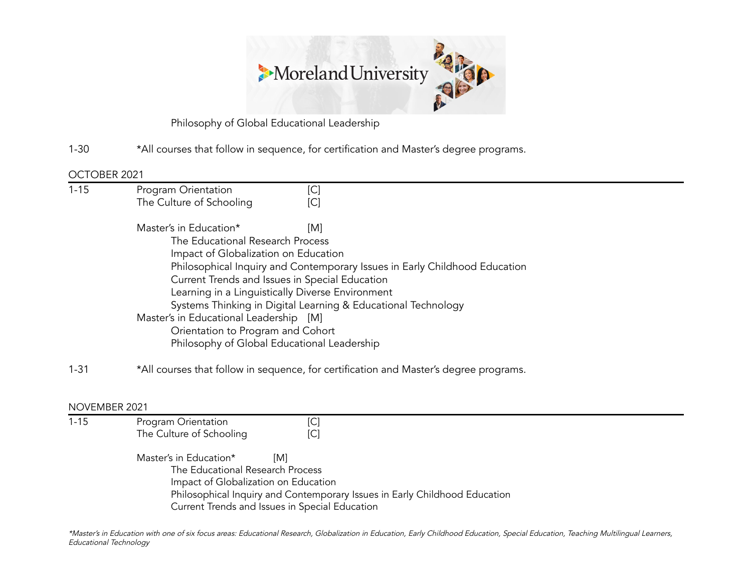

Philosophy of Global Educational Leadership

1-30 \*All courses that follow in sequence, for certification and Master's degree programs.

#### OCTOBER 2021

| $1 - 15$ | Program Orientation                                                                                                                                                                                                                                                                                                                 | [C] |  |  |               |                                             |                                                                                       |
|----------|-------------------------------------------------------------------------------------------------------------------------------------------------------------------------------------------------------------------------------------------------------------------------------------------------------------------------------------|-----|--|--|---------------|---------------------------------------------|---------------------------------------------------------------------------------------|
|          | The Culture of Schooling                                                                                                                                                                                                                                                                                                            | [C] |  |  |               |                                             |                                                                                       |
|          | Master's in Education*                                                                                                                                                                                                                                                                                                              | [M] |  |  |               |                                             |                                                                                       |
|          | The Educational Research Process                                                                                                                                                                                                                                                                                                    |     |  |  |               |                                             |                                                                                       |
|          | Impact of Globalization on Education<br>Philosophical Inquiry and Contemporary Issues in Early Childhood Education<br>Current Trends and Issues in Special Education<br>Learning in a Linguistically Diverse Environment<br>Systems Thinking in Digital Learning & Educational Technology<br>Master's in Educational Leadership [M] |     |  |  |               |                                             |                                                                                       |
|          |                                                                                                                                                                                                                                                                                                                                     |     |  |  |               | Orientation to Program and Cohort           |                                                                                       |
|          |                                                                                                                                                                                                                                                                                                                                     |     |  |  |               | Philosophy of Global Educational Leadership |                                                                                       |
|          |                                                                                                                                                                                                                                                                                                                                     |     |  |  | $1 - 31$      |                                             | *All courses that follow in sequence, for certification and Master's degree programs. |
|          |                                                                                                                                                                                                                                                                                                                                     |     |  |  |               |                                             |                                                                                       |
|          |                                                                                                                                                                                                                                                                                                                                     |     |  |  | NOVEMBER 2021 |                                             |                                                                                       |
| $1 - 15$ | Program Orientation                                                                                                                                                                                                                                                                                                                 | [C] |  |  |               |                                             |                                                                                       |
|          | The Culture of Schooling                                                                                                                                                                                                                                                                                                            | [C] |  |  |               |                                             |                                                                                       |

Master's in Education\* [M] The Educational Research Process Impact of Globalization on Education Philosophical Inquiry and Contemporary Issues in Early Childhood Education Current Trends and Issues in Special Education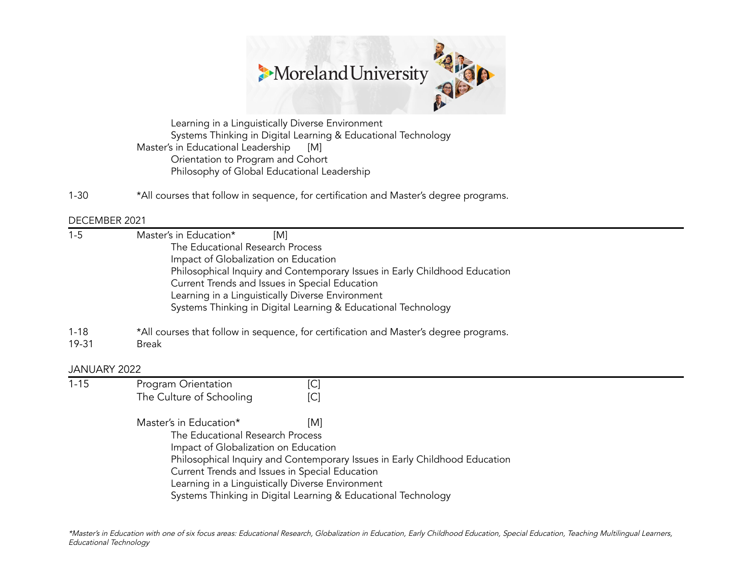

Learning in a Linguistically Diverse Environment Systems Thinking in Digital Learning & Educational Technology Master's in Educational Leadership [M] Orientation to Program and Cohort Philosophy of Global Educational Leadership

1-30 \*All courses that follow in sequence, for certification and Master's degree programs.

#### DECEMBER 2021

- 1-5 Master's in Education\* [M] The Educational Research Process Impact of Globalization on Education Philosophical Inquiry and Contemporary Issues in Early Childhood Education Current Trends and Issues in Special Education Learning in a Linguistically Diverse Environment Systems Thinking in Digital Learning & Educational Technology
- 1-18 \*All courses that follow in sequence, for certification and Master's degree programs.
- 19-31 Break

## JANUARY 2022

1-15 Program Orientation [C] The Culture of Schooling [C]

> Master's in Education\* [M] The Educational Research Process Impact of Globalization on Education Philosophical Inquiry and Contemporary Issues in Early Childhood Education Current Trends and Issues in Special Education Learning in a Linguistically Diverse Environment Systems Thinking in Digital Learning & Educational Technology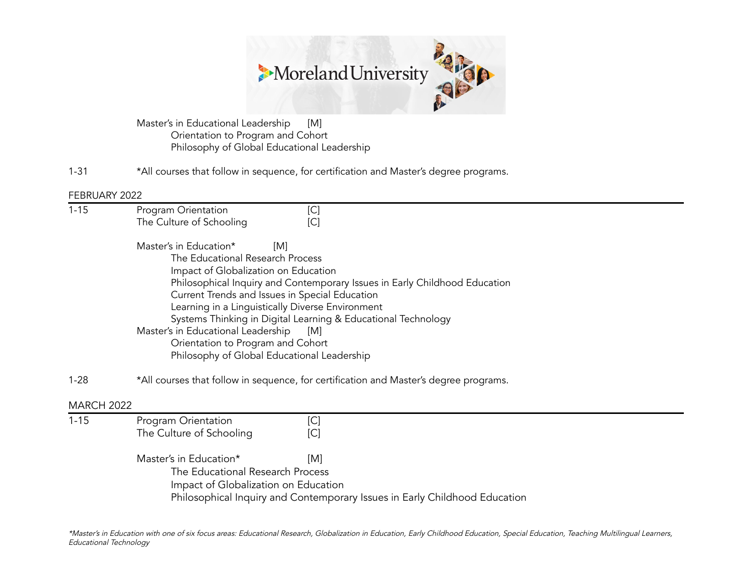

Master's in Educational Leadership [M] Orientation to Program and Cohort Philosophy of Global Educational Leadership

1-31 \*All courses that follow in sequence, for certification and Master's degree programs.

FEBRUARY 2022

| $1 - 15$          | Program Orientation<br>[C]                                                                                                                                                                                                                                                                                                                                                                                                                                                                      |
|-------------------|-------------------------------------------------------------------------------------------------------------------------------------------------------------------------------------------------------------------------------------------------------------------------------------------------------------------------------------------------------------------------------------------------------------------------------------------------------------------------------------------------|
|                   | The Culture of Schooling<br>[C]                                                                                                                                                                                                                                                                                                                                                                                                                                                                 |
|                   | Master's in Education*<br>[M]<br>The Educational Research Process<br>Impact of Globalization on Education<br>Philosophical Inquiry and Contemporary Issues in Early Childhood Education<br>Current Trends and Issues in Special Education<br>Learning in a Linguistically Diverse Environment<br>Systems Thinking in Digital Learning & Educational Technology<br>Master's in Educational Leadership<br>[M]<br>Orientation to Program and Cohort<br>Philosophy of Global Educational Leadership |
| $1 - 28$          | *All courses that follow in sequence, for certification and Master's degree programs.                                                                                                                                                                                                                                                                                                                                                                                                           |
| <b>MARCH 2022</b> |                                                                                                                                                                                                                                                                                                                                                                                                                                                                                                 |
| $1 - 15$          | [C]<br>Program Orientation<br>The Culture of Schooling<br>[C]                                                                                                                                                                                                                                                                                                                                                                                                                                   |
|                   | Master's in Education*<br>[M]<br>The Educational Research Process<br>Impact of Globalization on Education<br>Philosophical Inquiry and Contemporary Issues in Early Childhood Education                                                                                                                                                                                                                                                                                                         |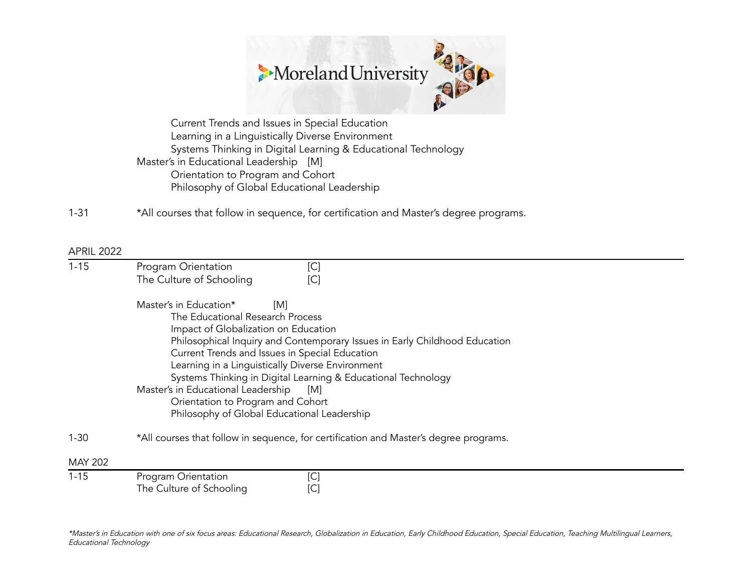

Current Trends and Issues in Special Education Learning in a Linguistically Diverse Environment Systems Thinking in Digital Learning & Educational Technology Master's in Educational Leadership [M] Orientation to Program and Cohort Philosophy of Global Educational Leadership

1-31 \*All courses that follow in sequence, for certification and Master's degree programs.

#### APRIL 2022

| $1 - 15$       | Program Orientation<br>The Culture of Schooling                                                                                                                               | [C]<br>[C]                                                                                                                                                                                                                                                                                                     |  |
|----------------|-------------------------------------------------------------------------------------------------------------------------------------------------------------------------------|----------------------------------------------------------------------------------------------------------------------------------------------------------------------------------------------------------------------------------------------------------------------------------------------------------------|--|
|                | Master's in Education*<br>The Educational Research Process<br>Impact of Globalization on Education<br>Master's in Educational Leadership<br>Orientation to Program and Cohort | [M]<br>Philosophical Inquiry and Contemporary Issues in Early Childhood Education<br>Current Trends and Issues in Special Education<br>Learning in a Linguistically Diverse Environment<br>Systems Thinking in Digital Learning & Educational Technology<br>[M]<br>Philosophy of Global Educational Leadership |  |
| $1 - 30$       | *All courses that follow in sequence, for certification and Master's degree programs.                                                                                         |                                                                                                                                                                                                                                                                                                                |  |
| <b>MAY 202</b> |                                                                                                                                                                               |                                                                                                                                                                                                                                                                                                                |  |
| $1 - 15$       | Program Orientation<br>The Culture of Schooling                                                                                                                               | [C]<br>[C]                                                                                                                                                                                                                                                                                                     |  |